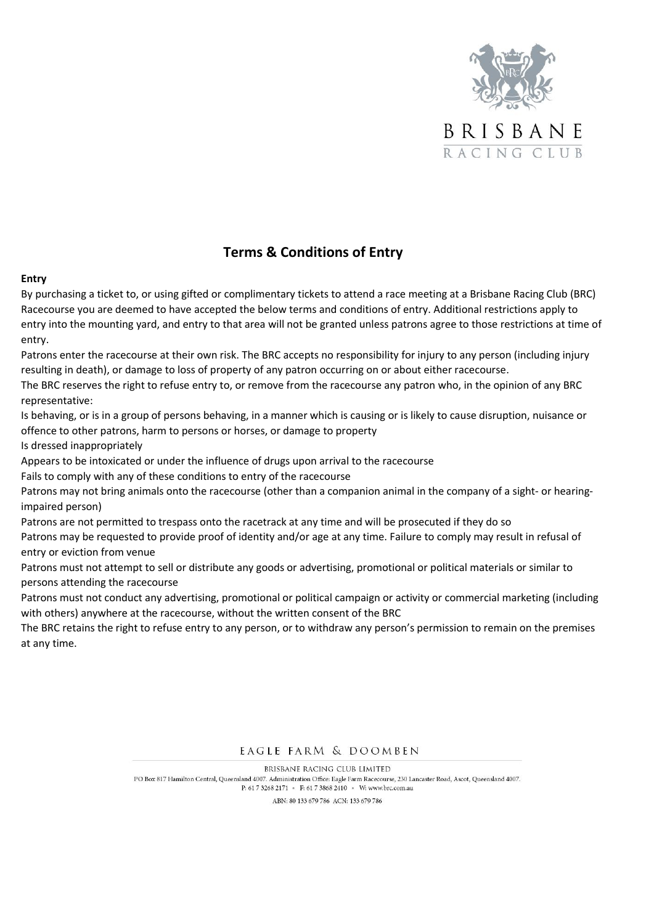

# **Terms & Conditions of Entry**

#### **Entry**

By purchasing a ticket to, or using gifted or complimentary tickets to attend a race meeting at a Brisbane Racing Club (BRC) Racecourse you are deemed to have accepted the below terms and conditions of entry. Additional restrictions apply to entry into the mounting yard, and entry to that area will not be granted unless patrons agree to those restrictions at time of entry.

Patrons enter the racecourse at their own risk. The BRC accepts no responsibility for injury to any person (including injury resulting in death), or damage to loss of property of any patron occurring on or about either racecourse.

The BRC reserves the right to refuse entry to, or remove from the racecourse any patron who, in the opinion of any BRC representative:

Is behaving, or is in a group of persons behaving, in a manner which is causing or is likely to cause disruption, nuisance or offence to other patrons, harm to persons or horses, or damage to property

Is dressed inappropriately

Appears to be intoxicated or under the influence of drugs upon arrival to the racecourse

Fails to comply with any of these conditions to entry of the racecourse

Patrons may not bring animals onto the racecourse (other than a companion animal in the company of a sight- or hearingimpaired person)

Patrons are not permitted to trespass onto the racetrack at any time and will be prosecuted if they do so

Patrons may be requested to provide proof of identity and/or age at any time. Failure to comply may result in refusal of entry or eviction from venue

Patrons must not attempt to sell or distribute any goods or advertising, promotional or political materials or similar to persons attending the racecourse

Patrons must not conduct any advertising, promotional or political campaign or activity or commercial marketing (including with others) anywhere at the racecourse, without the written consent of the BRC

The BRC retains the right to refuse entry to any person, or to withdraw any person's permission to remain on the premises at any time.

EAGLE FARM & DOOMBEN

**BRISBANE RACING CIUB LIMITED** PO Box 817 Hamilton Central, Queensland 4007. Administration Office: Eagle Farm Racecourse, 230 Lancaster Road, Ascot, Queensland 4007. P: 61 7 3268 2171 • F: 61 7 3868 2410 • W: www.brc.com.au

ABN: 80 133 679 786 ACN: 133 679 786